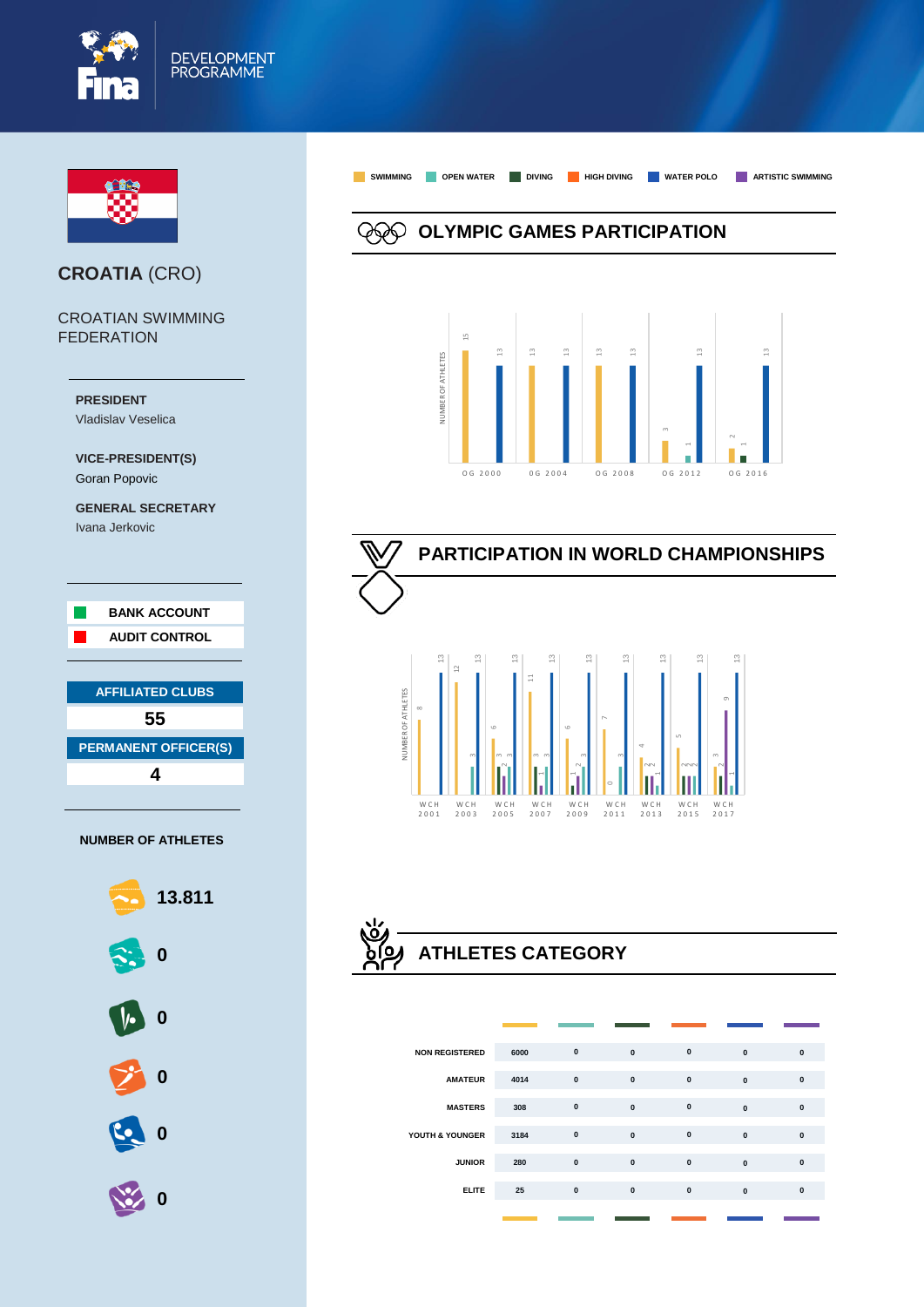



# **CROATIA** (CRO)

CROATIAN SWIMMING FEDERATION



#### **NUMBER OF ATHLETES**



**OLYMPIC GAMES PARTICIPATION**

**SWIMMING OPEN WATER DIVING HIGH DIVING WATER POLO ARTISTIC SWIMMING**





# **ATHLETES CATEGORY**

| <b>NON REGISTERED</b> | 6000 | $\mathbf{0}$ | $\mathbf{0}$ | $\mathbf{0}$ | $\mathbf{0}$ | $\mathbf{0}$ |
|-----------------------|------|--------------|--------------|--------------|--------------|--------------|
| <b>AMATEUR</b>        | 4014 | $\pmb{0}$    | $\pmb{0}$    | $\pmb{0}$    | $\mathbf{0}$ | $\mathbf{0}$ |
| <b>MASTERS</b>        | 308  | $\pmb{0}$    | $\pmb{0}$    | $\mathbf{0}$ | $\mathbf{0}$ | $\mathbf{0}$ |
| YOUTH & YOUNGER       | 3184 | $\pmb{0}$    | $\mathbf{0}$ | $\pmb{0}$    | $\mathbf{0}$ | $\mathbf{0}$ |
| <b>JUNIOR</b>         | 280  | $\pmb{0}$    | $\mathbf{0}$ | $\pmb{0}$    | $\mathbf{0}$ | $\mathbf{0}$ |
| <b>ELITE</b>          | 25   | $\mathbf{0}$ | $\mathbf{0}$ | $\mathbf{0}$ | $\mathbf{0}$ | $\mathbf{0}$ |
|                       |      |              |              |              |              |              |